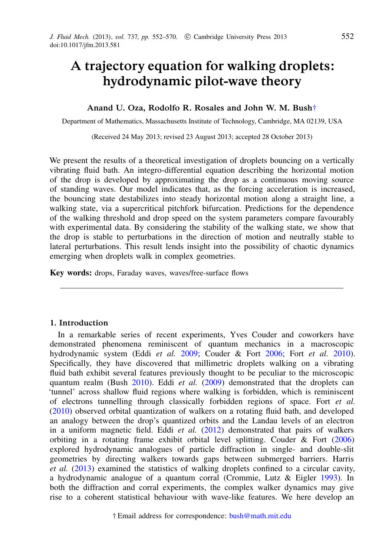# A trajectory equation for walking droplets: hydrodynamic pilot-wave theory

## Anand U. Oza, Rodolfo R. Rosales and John W. M. Bush[†](#page-0-0)

Department of Mathematics, Massachusetts Institute of Technology, Cambridge, MA 02139, USA

(Received 24 May 2013; revised 23 August 2013; accepted 28 October 2013)

We present the results of a theoretical investigation of droplets bouncing on a vertically vibrating fluid bath. An integro-differential equation describing the horizontal motion of the drop is developed by approximating the drop as a continuous moving source of standing waves. Our model indicates that, as the forcing acceleration is increased, the bouncing state destabilizes into steady horizontal motion along a straight line, a walking state, via a supercritical pitchfork bifurcation. Predictions for the dependence of the walking threshold and drop speed on the system parameters compare favourably with experimental data. By considering the stability of the walking state, we show that the drop is stable to perturbations in the direction of motion and neutrally stable to lateral perturbations. This result lends insight into the possibility of chaotic dynamics emerging when droplets walk in complex geometries.

Key words: drops, Faraday waves, waves/free-surface flows

### 1. Introduction

<span id="page-0-0"></span>In a remarkable series of recent experiments, Yves Couder and coworkers have demonstrated phenomena reminiscent of quantum mechanics in a macroscopic hydrodynamic system (Eddi *et al.* 2009; Couder & Fort 2006; Fort *et al.* 2010). Specifically, they have discovered that millimetric droplets walking on a vibrating fluid bath exhibit several features previously thought to be peculiar to the microscopic quantum realm (Bush 2010). Eddi *et al.* (2009) demonstrated that the droplets can 'tunnel' across shallow fluid regions where walking is forbidden, which is reminiscent of electrons tunnelling through classically forbidden regions of space. Fort *et al.* (2010) observed orbital quantization of walkers on a rotating fluid bath, and developed an analogy between the drop's quantized orbits and the Landau levels of an electron in a uniform magnetic field. Eddi *et al.* (2012) demonstrated that pairs of walkers orbiting in a rotating frame exhibit orbital level splitting. Couder & Fort (2006) explored hydrodynamic analogues of particle diffraction in single- and double-slit geometries by directing walkers towards gaps between submerged barriers. Harris *et al.* (2013) examined the statistics of walking droplets confined to a circular cavity, a hydrodynamic analogue of a quantum corral (Crommie, Lutz & Eigler 1993). In both the diffraction and corral experiments, the complex walker dynamics may give rise to a coherent statistical behaviour with wave-like features. We here develop an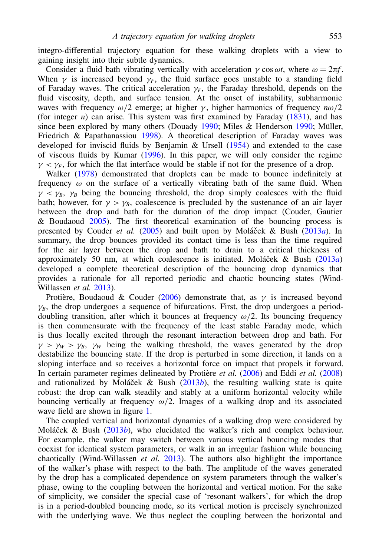integro-differential trajectory equation for these walking droplets with a view to gaining insight into their subtle dynamics.

Consider a fluid bath vibrating vertically with acceleration  $\gamma \cos \omega t$ , where  $\omega = 2\pi f$ . When  $\gamma$  is increased beyond  $\gamma_F$ , the fluid surface goes unstable to a standing field of Faraday waves. The critical acceleration  $\gamma_F$ , the Faraday threshold, depends on the fluid viscosity, depth, and surface tension. At the onset of instability, subharmonic waves with frequency  $\omega/2$  emerge; at higher  $\gamma$ , higher harmonics of frequency  $n\omega/2$ (for integer  $n$ ) can arise. This system was first examined by Faraday  $(1831)$ , and has since been explored by many others (Douady 1990; Miles & Henderson 1990; Müller, Friedrich & Papathanassiou 1998). A theoretical description of Faraday waves was developed for inviscid fluids by Benjamin & Ursell (1954) and extended to the case of viscous fluids by Kumar (1996). In this paper, we will only consider the regime  $\gamma < \gamma_F$ , for which the flat interface would be stable if not for the presence of a drop.

Walker (1978) demonstrated that droplets can be made to bounce indefinitely at frequency  $\omega$  on the surface of a vertically vibrating bath of the same fluid. When  $\gamma < \gamma_B$ ,  $\gamma_B$  being the bouncing threshold, the drop simply coalesces with the fluid bath; however, for  $\gamma > \gamma_B$ , coalescence is precluded by the sustenance of an air layer between the drop and bath for the duration of the drop impact (Couder, Gautier & Boudaoud 2005). The first theoretical examination of the bouncing process is presented by Couder *et al.* (2005) and built upon by Moláček & Bush (2013*a*). In summary, the drop bounces provided its contact time is less than the time required for the air layer between the drop and bath to drain to a critical thickness of approximately 50 nm, at which coalescence is initiated. Moláček & Bush (2013*a*) developed a complete theoretical description of the bouncing drop dynamics that provides a rationale for all reported periodic and chaotic bouncing states (Wind-Willassen *et al.* 2013).

Protière, Boudaoud & Couder (2006) demonstrate that, as  $\gamma$  is increased beyond  $\gamma_B$ , the drop undergoes a sequence of bifurcations. First, the drop undergoes a perioddoubling transition, after which it bounces at frequency  $\omega/2$ . Its bouncing frequency is then commensurate with the frequency of the least stable Faraday mode, which is thus locally excited through the resonant interaction between drop and bath. For  $\gamma > \gamma_W > \gamma_B$ ,  $\gamma_W$  being the walking threshold, the waves generated by the drop destabilize the bouncing state. If the drop is perturbed in some direction, it lands on a sloping interface and so receives a horizontal force on impact that propels it forward. In certain parameter regimes delineated by Protière *et al.* (2006) and Eddi *et al.* (2008) and rationalized by Moláček & Bush  $(2013b)$ , the resulting walking state is quite robust: the drop can walk steadily and stably at a uniform horizontal velocity while bouncing vertically at frequency  $\omega/2$ . Images of a walking drop and its associated wave field are shown in figure 1.

The coupled vertical and horizontal dynamics of a walking drop were considered by Moláček & Bush (2013*b*), who elucidated the walker's rich and complex behaviour. For example, the walker may switch between various vertical bouncing modes that coexist for identical system parameters, or walk in an irregular fashion while bouncing chaotically (Wind-Willassen *et al.* 2013). The authors also highlight the importance of the walker's phase with respect to the bath. The amplitude of the waves generated by the drop has a complicated dependence on system parameters through the walker's phase, owing to the coupling between the horizontal and vertical motion. For the sake of simplicity, we consider the special case of 'resonant walkers', for which the drop is in a period-doubled bouncing mode, so its vertical motion is precisely synchronized with the underlying wave. We thus neglect the coupling between the horizontal and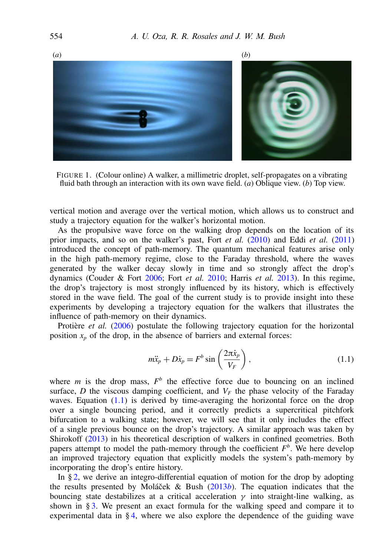

FIGURE 1. (Colour online) A walker, a millimetric droplet, self-propagates on a vibrating fluid bath through an interaction with its own wave field. (*a*) Oblique view. (*b*) Top view.

vertical motion and average over the vertical motion, which allows us to construct and study a trajectory equation for the walker's horizontal motion.

As the propulsive wave force on the walking drop depends on the location of its prior impacts, and so on the walker's past, Fort *et al.* (2010) and Eddi *et al.* (2011) introduced the concept of path-memory. The quantum mechanical features arise only in the high path-memory regime, close to the Faraday threshold, where the waves generated by the walker decay slowly in time and so strongly affect the drop's dynamics (Couder & Fort 2006; Fort *et al.* 2010; Harris *et al.* 2013). In this regime, the drop's trajectory is most strongly influenced by its history, which is effectively stored in the wave field. The goal of the current study is to provide insight into these experiments by developing a trajectory equation for the walkers that illustrates the influence of path-memory on their dynamics.

Protière et al. (2006) postulate the following trajectory equation for the horizontal position  $x_p$  of the drop, in the absence of barriers and external forces:

<span id="page-2-0"></span>
$$
m\ddot{x}_p + D\dot{x}_p = F^b \sin\left(\frac{2\pi \dot{x}_p}{V_F}\right),\tag{1.1}
$$

where  $m$  is the drop mass,  $F<sup>b</sup>$  the effective force due to bouncing on an inclined surface, *D* the viscous damping coefficient, and  $V_F$  the phase velocity of the Faraday waves. Equation  $(1.1)$  is derived by time-averaging the horizontal force on the drop over a single bouncing period, and it correctly predicts a supercritical pitchfork bifurcation to a walking state; however, we will see that it only includes the effect of a single previous bounce on the drop's trajectory. A similar approach was taken by Shirokoff (2013) in his theoretical description of walkers in confined geometries. Both papers attempt to model the path-memory through the coefficient  $F^b$ . We here develop an improved trajectory equation that explicitly models the system's path-memory by incorporating the drop's entire history.

In § [2,](#page-3-0) we derive an integro-differential equation of motion for the drop by adopting the results presented by Mola<sup> $\check{c}$ </sup>ek & Bush (2013*b*). The equation indicates that the bouncing state destabilizes at a critical acceleration  $\gamma$  into straight-line walking, as shown in § [3.](#page-6-0) We present an exact formula for the walking speed and compare it to experimental data in § [4,](#page-9-0) where we also explore the dependence of the guiding wave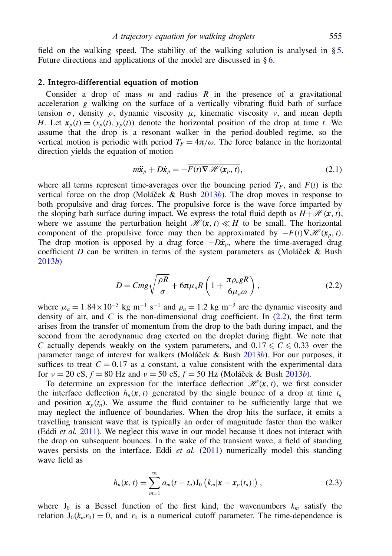field on the walking speed. The stability of the walking solution is analysed in § [5.](#page-11-0) Future directions and applications of the model are discussed in  $\delta$  [6.](#page-16-0)

#### <span id="page-3-0"></span>2. Integro-differential equation of motion

Consider a drop of mass *m* and radius *R* in the presence of a gravitational acceleration *g* walking on the surface of a vertically vibrating fluid bath of surface tension  $\sigma$ , density  $\rho$ , dynamic viscosity  $\mu$ , kinematic viscosity  $\nu$ , and mean depth *H*. Let  $x_p(t) = (x_p(t), y_p(t))$  denote the horizontal position of the drop at time *t*. We assume that the drop is a resonant walker in the period-doubled regime, so the vertical motion is periodic with period  $T_F = 4\pi/\omega$ . The force balance in the horizontal direction yields the equation of motion

<span id="page-3-2"></span>
$$
m\ddot{\mathbf{x}}_p + D\dot{\mathbf{x}}_p = -\overline{F(t)}\nabla \mathcal{H}(\mathbf{x}_p, t),
$$
\n(2.1)

where all terms represent time-averages over the bouncing period  $T_F$ , and  $F(t)$  is the vertical force on the drop (Moláček & Bush  $2013b$ ). The drop moves in response to both propulsive and drag forces. The propulsive force is the wave force imparted by the sloping bath surface during impact. We express the total fluid depth as  $H + \mathcal{H}(\mathbf{x}, t)$ , where we assume the perturbation height  $\mathcal{H}(\mathbf{x}, t) \ll H$  to be small. The horizontal component of the propulsive force may then be approximated by  $-F(t)\nabla \mathcal{H}(x, t)$ . The drop motion is opposed by a drag force  $-D\dot{x}_p$ , where the time-averaged drag coefficient *D* can be written in terms of the system parameters as (Moláček & Bush 2013*b*)

<span id="page-3-1"></span>
$$
D = Cmg\sqrt{\frac{\rho R}{\sigma}} + 6\pi\mu_a R \left(1 + \frac{\pi\rho_a gR}{6\mu_a \omega}\right),\tag{2.2}
$$

where  $\mu_a = 1.84 \times 10^{-5}$  kg m<sup>-1</sup> s<sup>-1</sup> and  $\rho_a = 1.2$  kg m<sup>-3</sup> are the dynamic viscosity and density of air, and  $C$  is the non-dimensional drag coefficient. In  $(2.2)$ , the first term arises from the transfer of momentum from the drop to the bath during impact, and the second from the aerodynamic drag exerted on the droplet during flight. We note that *C* actually depends weakly on the system parameters, and  $0.17 \le C \le 0.33$  over the parameter range of interest for walkers (Moláček & Bush 2013*b*). For our purposes, it suffices to treat  $C = 0.17$  as a constant, a value consistent with the experimental data for  $v = 20 \text{ cS}, f = 80 \text{ Hz}$  and  $v = 50 \text{ cS}, f = 50 \text{ Hz}$  (Moláček & Bush  $\overline{2013b}$ ).

To determine an expression for the interface deflection  $\mathcal{H}(\mathbf{x}, t)$ , we first consider the interface deflection  $h_n(x, t)$  generated by the single bounce of a drop at time  $t_n$ and position  $x_p(t_n)$ . We assume the fluid container to be sufficiently large that we may neglect the influence of boundaries. When the drop hits the surface, it emits a travelling transient wave that is typically an order of magnitude faster than the walker (Eddi *et al.* 2011). We neglect this wave in our model because it does not interact with the drop on subsequent bounces. In the wake of the transient wave, a field of standing waves persists on the interface. Eddi *et al.* (2011) numerically model this standing wave field as

$$
h_n(\mathbf{x}, t) = \sum_{m=1}^{\infty} a_m(t - t_n) \mathbf{J}_0 \left( k_m |\mathbf{x} - \mathbf{x}_p(t_n)| \right), \tag{2.3}
$$

where  $J_0$  is a Bessel function of the first kind, the wavenumbers  $k_m$  satisfy the relation  $J_0(k_m r_0) = 0$ , and  $r_0$  is a numerical cutoff parameter. The time-dependence is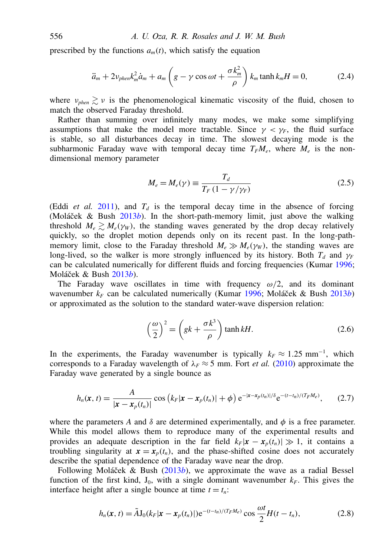prescribed by the functions  $a_m(t)$ , which satisfy the equation

$$
\ddot{a}_m + 2\nu_{phen}k_m^2 \dot{a}_m + a_m \left( g - \gamma \cos \omega t + \frac{\sigma k_m^2}{\rho} \right) k_m \tanh k_m H = 0, \tag{2.4}
$$

where  $v_{phen} \gtrsim v$  is the phenomenological kinematic viscosity of the fluid, chosen to match the observed Faraday threshold.

Rather than summing over infinitely many modes, we make some simplifying assumptions that make the model more tractable. Since  $\gamma < \gamma_F$ , the fluid surface is stable, so all disturbances decay in time. The slowest decaying mode is the subharmonic Faraday wave with temporal decay time  $T_F M_e$ , where  $M_e$  is the nondimensional memory parameter

<span id="page-4-1"></span>
$$
M_e = M_e(\gamma) \equiv \frac{T_d}{T_F (1 - \gamma/\gamma_F)}
$$
(2.5)

(Eddi *et al.* 2011), and  $T_d$  is the temporal decay time in the absence of forcing (Moláček & Bush  $2013b$ ). In the short-path-memory limit, just above the walking threshold  $M_e \geq M_e(\gamma_W)$ , the standing waves generated by the drop decay relatively quickly, so the droplet motion depends only on its recent past. In the long-pathmemory limit, close to the Faraday threshold  $M_e \gg M_e(\gamma_W)$ , the standing waves are long-lived, so the walker is more strongly influenced by its history. Both  $T_d$  and  $\gamma_F$ can be calculated numerically for different fluids and forcing frequencies (Kumar 1996; Moláček & Bush 2013b).

The Faraday wave oscillates in time with frequency  $\omega/2$ , and its dominant wavenumber  $k_F$  can be calculated numerically (Kumar 1996; Moláček & Bush 2013*b*) or approximated as the solution to the standard water-wave dispersion relation:

$$
\left(\frac{\omega}{2}\right)^2 = \left(gk + \frac{\sigma k^3}{\rho}\right) \tanh kH.
$$
 (2.6)

In the experiments, the Faraday wavenumber is typically  $k_F \approx 1.25 \text{ mm}^{-1}$ , which corresponds to a Faraday wavelength of  $\lambda_F \approx 5$  mm. Fort *et al.* (2010) approximate the Faraday wave generated by a single bounce as

$$
h_n(\mathbf{x}, t) = \frac{A}{|\mathbf{x} - \mathbf{x}_p(t_n)|} \cos (k_F |\mathbf{x} - \mathbf{x}_p(t_n)| + \phi) e^{-|\mathbf{x} - \mathbf{x}_p(t_n)|/\delta} e^{-(t - t_n)/(T_F M_e)}, \quad (2.7)
$$

where the parameters *A* and  $\delta$  are determined experimentally, and  $\phi$  is a free parameter. While this model allows them to reproduce many of the experimental results and provides an adequate description in the far field  $k_F|\mathbf{x} - \mathbf{x}_p(t_n)| \gg 1$ , it contains a troubling singularity at  $x = x_p(t_p)$ , and the phase-shifted cosine does not accurately describe the spatial dependence of the Faraday wave near the drop.

Following Moláček & Bush (2013b), we approximate the wave as a radial Bessel function of the first kind,  $J_0$ , with a single dominant wavenumber  $k_F$ . This gives the interface height after a single bounce at time  $t = t_n$ .

<span id="page-4-0"></span>
$$
h_n(x, t) = \tilde{A} J_0(k_F |x - x_p(t_n)|) e^{-(t - t_n)/(T_F M_e)} \cos \frac{\omega t}{2} H(t - t_n),
$$
\n(2.8)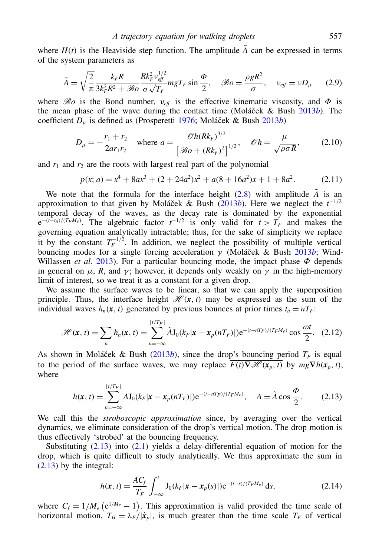where  $H(t)$  is the Heaviside step function. The amplitude  $\tilde{A}$  can be expressed in terms of the system parameters as

$$
\tilde{A} = \sqrt{\frac{2}{\pi}} \frac{k_F R}{3k_F^2 R^2 + \mathcal{B}o} \frac{R k_F^2 v_{\text{eff}}^{1/2}}{\sigma \sqrt{T_F}} mg_{\text{F}} \sin \frac{\Phi}{2}, \quad \mathcal{B}o = \frac{\rho g R^2}{\sigma}, \quad v_{\text{eff}} = v D_\mu \tag{2.9}
$$

where  $\mathscr{B}o$  is the Bond number,  $v_{\text{eff}}$  is the effective kinematic viscosity, and  $\Phi$  is the mean phase of the wave during the contact time (Moláček & Bush  $2013b$ ). The coefficient  $D_{\mu}$  is defined as (Prosperetti 1976; Moláček & Bush 2013*b*)

$$
D_{\mu} = -\frac{r_1 + r_2}{2ar_1r_2} \quad \text{where } a = \frac{\mathcal{O}h(Rk_F)^{3/2}}{\left[\mathcal{B}o + (Rk_F)^2\right]^{1/2}}, \quad \mathcal{O}h = \frac{\mu}{\sqrt{\rho\sigma R}}, \tag{2.10}
$$

and  $r_1$  and  $r_2$  are the roots with largest real part of the polynomial

$$
p(x; a) = x4 + 8ax3 + (2 + 24a2)x2 + a(8 + 16a2)x + 1 + 8a2.
$$
 (2.11)

We note that the formula for the interface height  $(2.8)$  with amplitude  $\tilde{A}$  is an approximation to that given by Moláček & Bush ( $2013b$ ). Here we neglect the  $t^{-1/2}$ temporal decay of the waves, as the decay rate is dominated by the exponential  $e^{-(t-t_n)/(T_F M_e)}$ . The algebraic factor  $t^{-1/2}$  is only valid for  $t > T_F$  and makes the governing equation analytically intractable; thus, for the sake of simplicity we replace it by the constant  $T_F^{-1/2}$ . In addition, we neglect the possibility of multiple vertical bouncing modes for a single forcing acceleration  $\gamma$  (Moláček & Bush 2013*b*; Wind-Willassen *et al.* 2013). For a particular bouncing mode, the impact phase  $\Phi$  depends in general on  $\mu$ , *R*, and  $\gamma$ ; however, it depends only weakly on  $\gamma$  in the high-memory limit of interest, so we treat it as a constant for a given drop.

We assume the surface waves to be linear, so that we can apply the superposition principle. Thus, the interface height  $\mathcal{H}(x, t)$  may be expressed as the sum of the individual waves  $h_n(x, t)$  generated by previous bounces at prior times  $t_n = nT_F$ .

$$
\mathscr{H}(\mathbf{x},t) = \sum_{n} h_n(\mathbf{x},t) = \sum_{n=-\infty}^{\lfloor t/T_F \rfloor} \tilde{A} \mathbf{J}_0(k_F|\mathbf{x}-\mathbf{x}_p(nT_F)|) e^{-(t-nT_F)/(T_F M_e)} \cos \frac{\omega t}{2}.
$$
 (2.12)

As shown in Moláček & Bush (2013*b*), since the drop's bouncing period  $T<sub>F</sub>$  is equal to the period of the surface waves, we may replace  $F(t)\nabla \mathcal{H}(x_n, t)$  by  $mg\nabla h(x_n, t)$ , where

$$
h(\mathbf{x}, t) = \sum_{n=-\infty}^{\lfloor t/T_F \rfloor} A J_0(k_F |\mathbf{x} - \mathbf{x}_p(nT_F)|) e^{-(t - nT_F)/(T_F M_e)}, \quad A = \tilde{A} \cos \frac{\Phi}{2}.
$$
 (2.13)

We call this the *stroboscopic approximation* since, by averaging over the vertical dynamics, we eliminate consideration of the drop's vertical motion. The drop motion is thus effectively 'strobed' at the bouncing frequency.

Substituting  $(2.13)$  into  $(2.1)$  yields a delay-differential equation of motion for the drop, which is quite difficult to study analytically. We thus approximate the sum in [\(2.13\)](#page-5-0) by the integral:

<span id="page-5-1"></span><span id="page-5-0"></span>
$$
h(\mathbf{x}, t) = \frac{AC_f}{T_F} \int_{-\infty}^t \mathbf{J}_0(k_F|\mathbf{x} - \mathbf{x}_p(s)|) e^{-(t-s)/(T_F M_e)} ds,
$$
 (2.14)

where  $C_f = 1/M_e$  ( $e^{1/M_e} - 1$ ). This approximation is valid provided the time scale of horizontal motion,  $T_H = \lambda_F / |\dot{x}_p|$ , is much greater than the time scale  $T_F$  of vertical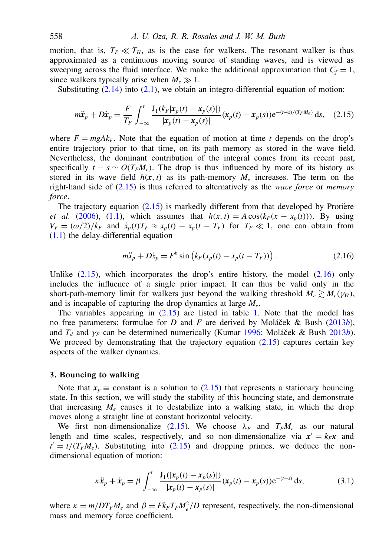motion, that is,  $T_F \ll T_H$ , as is the case for walkers. The resonant walker is thus approximated as a continuous moving source of standing waves, and is viewed as sweeping across the fluid interface. We make the additional approximation that  $C_f = 1$ , since walkers typically arise when  $M_e \gg 1$ .

Substituting  $(2.14)$  into  $(2.1)$ , we obtain an integro-differential equation of motion:

$$
m\ddot{\mathbf{x}}_p + D\dot{\mathbf{x}}_p = \frac{F}{T_F} \int_{-\infty}^t \frac{\mathbf{J}_1(k_F|\mathbf{x}_p(t) - \mathbf{x}_p(s)|)}{|\mathbf{x}_p(t) - \mathbf{x}_p(s)|} (\mathbf{x}_p(t) - \mathbf{x}_p(s)) e^{-(t-s)/(T_F M_e)} ds, \quad (2.15)
$$

where  $F = mgAk_F$ . Note that the equation of motion at time *t* depends on the drop's entire trajectory prior to that time, on its path memory as stored in the wave field. Nevertheless, the dominant contribution of the integral comes from its recent past, specifically  $t - s \sim O(T_F M_e)$ . The drop is thus influenced by more of its history as stored in its wave field  $h(x, t)$  as its path-memory  $M_e$  increases. The term on the right-hand side of [\(2.15\)](#page-6-1) is thus referred to alternatively as the *wave force* or *memory force*.

The trajectory equation  $(2.15)$  is markedly different from that developed by Protière *et al.* (2006), [\(1.1\)](#page-2-0), which assumes that  $h(x, t) = A \cos(k_F(x - x_p(t)))$ . By using  $V_F = (\omega/2)/k_F$  and  $\dot{x}_p(t)T_F \approx x_p(t) - x_p(t - T_F)$  for  $T_F \ll 1$ , one can obtain from [\(1.1\)](#page-2-0) the delay-differential equation

<span id="page-6-2"></span><span id="page-6-1"></span>
$$
m\ddot{x}_p + D\dot{x}_p = F^b \sin (k_F(x_p(t) - x_p(t - T_F)))
$$
\n(2.16)

Unlike  $(2.15)$ , which incorporates the drop's entire history, the model  $(2.16)$  only includes the influence of a single prior impact. It can thus be valid only in the short-path-memory limit for walkers just beyond the walking threshold  $M_e \ge M_e(\gamma_W)$ , and is incapable of capturing the drop dynamics at large *M<sup>e</sup>* .

The variables appearing in  $(2.15)$  are listed in table 1. Note that the model has no free parameters: formulae for *D* and *F* are derived by Moláček & Bush (2013*b*), and  $T_d$  and  $\gamma_F$  can be determined numerically (Kumar 1996; Moláček & Bush 2013*b*). We proceed by demonstrating that the trajectory equation [\(2.15\)](#page-6-1) captures certain key aspects of the walker dynamics.

#### <span id="page-6-0"></span>3. Bouncing to walking

Note that  $x_p \equiv$  constant is a solution to [\(2.15\)](#page-6-1) that represents a stationary bouncing state. In this section, we will study the stability of this bouncing state, and demonstrate that increasing  $M_e$  causes it to destabilize into a walking state, in which the drop moves along a straight line at constant horizontal velocity.

We first non-dimensionalize [\(2.15\)](#page-6-1). We choose  $\lambda_F$  and  $T_F M_e$  as our natural length and time scales, respectively, and so non-dimensionalize via  $x' = k_F x$  and  $t' = t/(T_F M_e)$ . Substituting into [\(2.15\)](#page-6-1) and dropping primes, we deduce the nondimensional equation of motion:

<span id="page-6-3"></span>
$$
\kappa \ddot{\mathbf{x}}_p + \dot{\mathbf{x}}_p = \beta \int_{-\infty}^t \frac{\mathbf{J}_1(|\mathbf{x}_p(t) - \mathbf{x}_p(s)|)}{|\mathbf{x}_p(t) - \mathbf{x}_p(s)|} (\mathbf{x}_p(t) - \mathbf{x}_p(s)) e^{-(t-s)} ds,
$$
(3.1)

where  $\kappa = m/DT_F M_e$  and  $\beta = F k_F T_F M_e^2/D$  represent, respectively, the non-dimensional mass and memory force coefficient.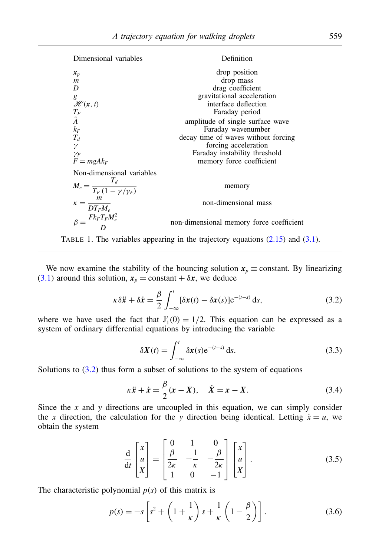Dimensional variables Definition  $x_p$  drop position drop position drop mass *m* drop mass drag coefficie drag coefficient *g* gravitational acceleration  $\mathcal{H}(\mathbf{x}, t)$  gravitational acceleration  $\mathcal{H}(\mathbf{x}, t)$  interface deflection<br>  $T_F$  Faraday period *T<sub>F</sub>* Faraday period<br> $\tilde{A}$  amplitude of single surf  $\tilde{A}$  amplitude of single surface wave<br>Faraday wavenumber  $k_F$  Faraday wavenumber<br> $T_d$  decay time of waves without  $T_d$  decay time of waves without forcing forcing decay time of waves without forcing forcing acceleration  $\gamma_F$ <br>  $F = mgAk_F$  Faraday instability threshold<br>
From the second term of the second term of the second term of the second term of the second term of the second term of the second term of the second term of the second term of  $m$  memory force coefficient Non-dimensional variables  $M_e = \frac{T_d}{T_e (1 - t)}$  $T_F(1-\gamma/\gamma_F)$ memory  $\kappa = \frac{m}{DT_E}$  $DT_F M_e$ non-dimensional mass  $\beta = \frac{F k_F T_F M_e^2}{D}$ *D* non-dimensional memory force coefficient



We now examine the stability of the bouncing solution  $x_p \equiv$  constant. By linearizing [\(3.1\)](#page-6-3) around this solution,  $x_p = \text{constant} + \delta x$ , we deduce

$$
\kappa \delta \ddot{\mathbf{x}} + \delta \dot{\mathbf{x}} = \frac{\beta}{2} \int_{-\infty}^{t} [\delta \mathbf{x}(t) - \delta \mathbf{x}(s)] e^{-(t-s)} ds,
$$
 (3.2)

where we have used the fact that  $J_1'(0) = 1/2$ . This equation can be expressed as a system of ordinary differential equations by introducing the variable

<span id="page-7-0"></span>
$$
\delta X(t) = \int_{-\infty}^{t} \delta x(s) e^{-(t-s)} ds.
$$
 (3.3)

Solutions to  $(3.2)$  thus form a subset of solutions to the system of equations

$$
\kappa \ddot{x} + \dot{x} = \frac{\beta}{2} (x - X), \quad \dot{X} = x - X.
$$
 (3.4)

Since the *x* and *y* directions are uncoupled in this equation, we can simply consider the *x* direction, the calculation for the *y* direction being identical. Letting  $\dot{x} = u$ , we obtain the system

$$
\frac{\mathrm{d}}{\mathrm{d}t} \begin{bmatrix} x \\ u \\ X \end{bmatrix} = \begin{bmatrix} 0 & 1 & 0 \\ \frac{\beta}{2\kappa} & -\frac{1}{\kappa} & -\frac{\beta}{2\kappa} \\ 1 & 0 & -1 \end{bmatrix} \begin{bmatrix} x \\ u \\ X \end{bmatrix}.
$$
 (3.5)

The characteristic polynomial  $p(s)$  of this matrix is

$$
p(s) = -s \left[ s^2 + \left( 1 + \frac{1}{\kappa} \right) s + \frac{1}{\kappa} \left( 1 - \frac{\beta}{2} \right) \right].
$$
 (3.6)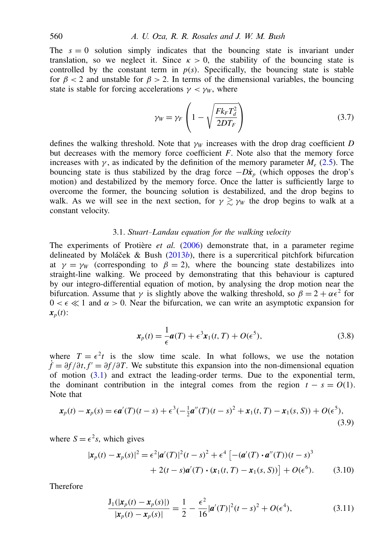The  $s = 0$  solution simply indicates that the bouncing state is invariant under translation, so we neglect it. Since  $\kappa > 0$ , the stability of the bouncing state is controlled by the constant term in  $p(s)$ . Specifically, the bouncing state is stable for  $\beta$  < 2 and unstable for  $\beta$  > 2. In terms of the dimensional variables, the bouncing state is stable for forcing accelerations  $\gamma < \gamma_W$ , where

$$
\gamma_W = \gamma_F \left( 1 - \sqrt{\frac{F k_F T_d^2}{2 D T_F}} \right) \tag{3.7}
$$

defines the walking threshold. Note that  $\gamma_W$  increases with the drop drag coefficient *D* but decreases with the memory force coefficient *F*. Note also that the memory force increases with  $\gamma$ , as indicated by the definition of the memory parameter  $M_e$  [\(2.5\)](#page-4-1). The bouncing state is thus stabilized by the drag force  $-D\dot{x}_p$  (which opposes the drop's motion) and destabilized by the memory force. Once the latter is sufficiently large to overcome the former, the bouncing solution is destabilized, and the drop begins to walk. As we will see in the next section, for  $\gamma \gtrsim \gamma_W$  the drop begins to walk at a constant velocity.

## 3.1. *Stuart–Landau equation for the walking velocity*

The experiments of Protière *et al.* (2006) demonstrate that, in a parameter regime delineated by Moláček & Bush  $(2013b)$ , there is a supercritical pitchfork bifurcation at  $\gamma = \gamma_W$  (corresponding to  $\beta = 2$ ), where the bouncing state destabilizes into straight-line walking. We proceed by demonstrating that this behaviour is captured by our integro-differential equation of motion, by analysing the drop motion near the bifurcation. Assume that  $\gamma$  is slightly above the walking threshold, so  $\beta = 2 + \alpha \epsilon^2$  for  $0 < \epsilon \ll 1$  and  $\alpha > 0$ . Near the bifurcation, we can write an asymptotic expansion for  $x_p(t)$ :

<span id="page-8-0"></span>
$$
\mathbf{x}_p(t) = \frac{1}{\epsilon} \mathbf{a}(T) + \epsilon^3 \mathbf{x}_1(t, T) + O(\epsilon^5), \tag{3.8}
$$

where  $T = \epsilon^2 t$  is the slow time scale. In what follows, we use the notation  $f = \partial f / \partial t$ ,  $f' = \partial f / \partial T$ . We substitute this expansion into the non-dimensional equation of motion [\(3.1\)](#page-6-3) and extract the leading-order terms. Due to the exponential term, the dominant contribution in the integral comes from the region  $t - s = O(1)$ . Note that

$$
\mathbf{x}_p(t) - \mathbf{x}_p(s) = \epsilon \mathbf{a}'(T)(t-s) + \epsilon^3 \left(-\frac{1}{2}\mathbf{a}''(T)(t-s)^2 + \mathbf{x}_1(t,T) - \mathbf{x}_1(s,S)\right) + O(\epsilon^5),\tag{3.9}
$$

where  $S = \epsilon^2 s$ , which gives

$$
|\mathbf{x}_p(t) - \mathbf{x}_p(s)|^2 = \epsilon^2 |\mathbf{a}'(T)|^2 (t - s)^2 + \epsilon^4 \left[ -(\mathbf{a}'(T) \cdot \mathbf{a}''(T)) (t - s)^3 + 2(t - s)\mathbf{a}'(T) \cdot (\mathbf{x}_1(t, T) - \mathbf{x}_1(s, S)) \right] + O(\epsilon^6).
$$
 (3.10)

Therefore

$$
\frac{J_1(|x_p(t) - x_p(s)|)}{|x_p(t) - x_p(s)|} = \frac{1}{2} - \frac{\epsilon^2}{16} |\boldsymbol{a}'(T)|^2 (t - s)^2 + O(\epsilon^4),
$$
\n(3.11)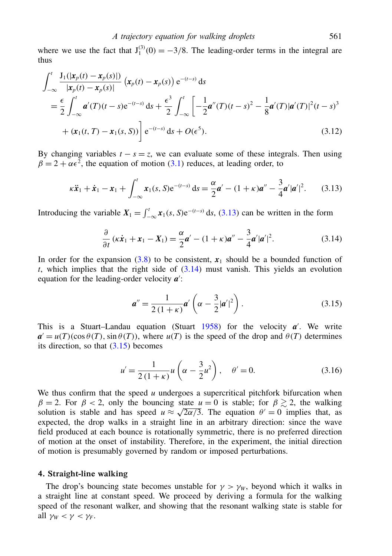where we use the fact that  $J_1^{(3)}(0) = -3/8$ . The leading-order terms in the integral are thus

$$
\int_{-\infty}^{t} \frac{J_1(|x_p(t) - x_p(s)|)}{|x_p(t) - x_p(s)|} (x_p(t) - x_p(s)) e^{-(t-s)} ds
$$
\n
$$
= \frac{\epsilon}{2} \int_{-\infty}^{t} \mathbf{a}'(T)(t-s) e^{-(t-s)} ds + \frac{\epsilon^3}{2} \int_{-\infty}^{t} \left[ -\frac{1}{2} \mathbf{a}''(T)(t-s)^2 - \frac{1}{8} \mathbf{a}'(T) |\mathbf{a}'(T)|^2 (t-s)^3 + (x_1(t, T) - x_1(s, S)) \right] e^{-(t-s)} ds + O(\epsilon^5).
$$
\n(3.12)

By changing variables  $t - s = z$ , we can evaluate some of these integrals. Then using  $\beta = 2 + \alpha \epsilon^2$ , the equation of motion [\(3.1\)](#page-6-3) reduces, at leading order, to

$$
\kappa \ddot{x}_1 + \dot{x}_1 - x_1 + \int_{-\infty}^t x_1(s, S) e^{-(t-s)} ds = \frac{\alpha}{2} a' - (1 + \kappa) a'' - \frac{3}{4} a' |a'|^2. \tag{3.13}
$$

Introducing the variable  $X_1 = \int_{-\infty}^t x_1(s, S) e^{-(t-s)} ds$ , [\(3.13\)](#page-9-1) can be written in the form

$$
\frac{\partial}{\partial t}(\kappa \dot{x}_1 + x_1 - X_1) = \frac{\alpha}{2}\mathbf{a}' - (1 + \kappa)\mathbf{a}'' - \frac{3}{4}\mathbf{a}'|\mathbf{a}'|^2. \tag{3.14}
$$

In order for the expansion  $(3.8)$  to be consistent,  $x_1$  should be a bounded function of *t*, which implies that the right side of [\(3.14\)](#page-9-2) must vanish. This yields an evolution equation for the leading-order velocity  $a'$ :

<span id="page-9-3"></span><span id="page-9-2"></span><span id="page-9-1"></span>
$$
\mathbf{a}'' = \frac{1}{2(1+\kappa)} \mathbf{a}' \left( \alpha - \frac{3}{2} |\mathbf{a}'|^2 \right). \tag{3.15}
$$

This is a Stuart–Landau equation (Stuart  $1958$ ) for the velocity  $a'$ . We write  $a' = u(T)(\cos \theta(T), \sin \theta(T))$ , where  $u(T)$  is the speed of the drop and  $\theta(T)$  determines its direction, so that  $(3.15)$  becomes

$$
u' = \frac{1}{2(1+\kappa)}u\left(\alpha - \frac{3}{2}u^2\right), \quad \theta' = 0.
$$
 (3.16)

We thus confirm that the speed  $u$  undergoes a supercritical pitchfork bifurcation when  $\beta = 2$ . For  $\beta < 2$ , only the bouncing state  $u = 0$  is stable; for  $\beta \gtrsim 2$ , the walking solution is stable and has speed  $u \approx \sqrt{2\alpha/3}$ . The equation  $\theta' = 0$  implies that, as expected, the drop walks in a straight line in an arbitrary direction: since the wave field produced at each bounce is rotationally symmetric, there is no preferred direction of motion at the onset of instability. Therefore, in the experiment, the initial direction of motion is presumably governed by random or imposed perturbations.

#### <span id="page-9-0"></span>4. Straight-line walking

The drop's bouncing state becomes unstable for  $\gamma > \gamma_W$ , beyond which it walks in a straight line at constant speed. We proceed by deriving a formula for the walking speed of the resonant walker, and showing that the resonant walking state is stable for all  $\gamma_W < \gamma < \gamma_F$ .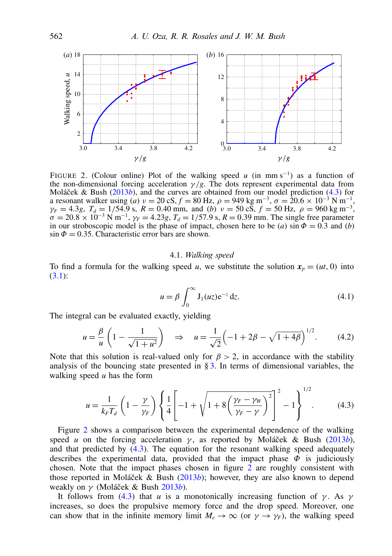

FIGURE 2. (Colour online) Plot of the walking speed  $u$  (in mm s<sup>-1</sup>) as a function of the non-dimensional forcing acceleration  $\gamma/g$ . The dots represent experimental data from Moláček & Bush ( $2013b$ ), and the curves are obtained from our model prediction [\(4.3\)](#page-10-0) for a resonant walker using (*a*)  $v = 20 \text{ cS}, f = 80 \text{ Hz}, \rho = 949 \text{ kg m}^{-3}, \sigma = 20.6 \times 10^{-3} \text{ N m}^{-1}$ ,  $\gamma_F = 4.3g, T_d = 1/54.9$  s,  $R = 0.40$  mm, and (*b*)  $v = 50 \text{ c} \bar{\text{S}}, f = 50 \text{ Hz}, \rho = 960 \text{ kg m}^{-3}$ ,  $\sigma = 20.8 \times 10^{-3} \text{ N m}^{-1}$ ,  $\gamma_F = 4.23g$ ,  $T_d = 1/57.9 \text{ s}$ ,  $R = 0.39 \text{ mm}$ . The single free parameter in our stroboscopic model is the phase of impact, chosen here to be (*a*) sin  $\Phi = 0.3$  and (*b*)  $\sin \Phi = 0.35$ . Characteristic error bars are shown.

#### 4.1. *Walking speed*

To find a formula for the walking speed *u*, we substitute the solution  $x_p = (ut, 0)$  into [\(3.1\)](#page-6-3):

$$
u = \beta \int_0^\infty J_1(uz) e^{-z} dz.
$$
 (4.1)

<span id="page-10-1"></span><span id="page-10-0"></span> $1/2$ 

The integral can be evaluated exactly, yielding

$$
u = -\frac{\beta}{u} \left( 1 - \frac{1}{\sqrt{1 + u^2}} \right) \quad \Rightarrow \quad u = \frac{1}{\sqrt{2}} \left( -1 + 2\beta - \sqrt{1 + 4\beta} \right)^{1/2} . \tag{4.2}
$$

Note that this solution is real-valued only for  $\beta > 2$ , in accordance with the stability analysis of the bouncing state presented in  $\S$ [3.](#page-6-0) In terms of dimensional variables, the walking speed *u* has the form

$$
u = \frac{1}{k_F T_d} \left( 1 - \frac{\gamma}{\gamma_F} \right) \left\{ \frac{1}{4} \left[ -1 + \sqrt{1 + 8 \left( \frac{\gamma_F - \gamma_W}{\gamma_F - \gamma} \right)^2} \right] - 1 \right\}^{1/2}.
$$
 (4.3)

Figure 2 shows a comparison between the experimental dependence of the walking speed *u* on the forcing acceleration  $\gamma$ , as reported by Moláček & Bush (2013*b*), and that predicted by [\(4.3\)](#page-10-0). The equation for the resonant walking speed adequately describes the experimental data, provided that the impact phase  $\Phi$  is judiciously chosen. Note that the impact phases chosen in figure 2 are roughly consistent with those reported in Moláček & Bush  $(2013b)$ ; however, they are also known to depend weakly on γ (Moláček & Bush 2013*b*).

It follows from [\(4.3\)](#page-10-0) that *u* is a monotonically increasing function of  $\gamma$ . As  $\gamma$ increases, so does the propulsive memory force and the drop speed. Moreover, one can show that in the infinite memory limit  $M_e \to \infty$  (or  $\gamma \to \gamma_F$ ), the walking speed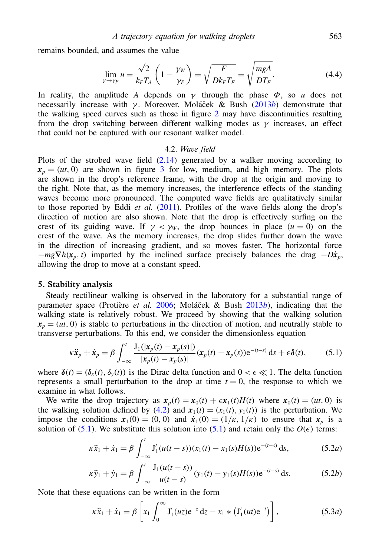remains bounded, and assumes the value

$$
\lim_{\gamma \to \gamma_F} u = \frac{\sqrt{2}}{k_F T_d} \left( 1 - \frac{\gamma_W}{\gamma_F} \right) = \sqrt{\frac{F}{D k_F T_F}} = \sqrt{\frac{mgA}{DT_F}}.
$$
\n(4.4)

In reality, the amplitude *A* depends on  $\gamma$  through the phase  $\Phi$ , so *u* does not necessarily increase with γ. Moreover, Moláček & Bush (2013*b*) demonstrate that the walking speed curves such as those in figure 2 may have discontinuities resulting from the drop switching between different walking modes as  $\gamma$  increases, an effect that could not be captured with our resonant walker model.

#### <span id="page-11-1"></span>4.2. *Wave field*

Plots of the strobed wave field  $(2.14)$  generated by a walker moving according to  $x_p = (ut, 0)$  are shown in figure 3 for low, medium, and high memory. The plots are shown in the drop's reference frame, with the drop at the origin and moving to the right. Note that, as the memory increases, the interference effects of the standing waves become more pronounced. The computed wave fields are qualitatively similar to those reported by Eddi *et al.* (2011). Profiles of the wave fields along the drop's direction of motion are also shown. Note that the drop is effectively surfing on the crest of its guiding wave. If  $\gamma < \gamma_w$ , the drop bounces in place  $(u = 0)$  on the crest of the wave. As the memory increases, the drop slides further down the wave in the direction of increasing gradient, and so moves faster. The horizontal force  $-mg\nabla h(x_n, t)$  imparted by the inclined surface precisely balances the drag  $-D\dot{x}_p$ , allowing the drop to move at a constant speed.

#### <span id="page-11-0"></span>5. Stability analysis

Steady rectilinear walking is observed in the laboratory for a substantial range of parameter space (Protière *et al.* 2006; Moláček & Bush 2013*b*), indicating that the walking state is relatively robust. We proceed by showing that the walking solution  $x_p = (ut, 0)$  is stable to perturbations in the direction of motion, and neutrally stable to transverse perturbations. To this end, we consider the dimensionless equation

$$
\kappa \ddot{\boldsymbol{x}}_p + \dot{\boldsymbol{x}}_p = \beta \int_{-\infty}^t \frac{\mathbf{J}_1(|\boldsymbol{x}_p(t) - \boldsymbol{x}_p(s)|)}{|\boldsymbol{x}_p(t) - \boldsymbol{x}_p(s)|} (\boldsymbol{x}_p(t) - \boldsymbol{x}_p(s)) e^{-(t-s)} ds + \epsilon \delta(t), \tag{5.1}
$$

where  $\delta(t) = (\delta_x(t), \delta_y(t))$  is the Dirac delta function and  $0 < \epsilon \ll 1$ . The delta function represents a small perturbation to the drop at time  $t = 0$ , the response to which we examine in what follows.

We write the drop trajectory as  $x_p(t) = x_0(t) + \epsilon x_1(t)H(t)$  where  $x_0(t) = (ut, 0)$  is the walking solution defined by [\(4.2\)](#page-10-1) and  $x_1(t) = (x_1(t), y_1(t))$  is the perturbation. We impose the conditions  $x_1(0) = (0, 0)$  and  $\dot{x}_1(0) = (1/\kappa, 1/\kappa)$  to ensure that  $x_p$  is a solution of [\(5.1\)](#page-11-1). We substitute this solution into (5.1) and retain only the  $O(\epsilon)$  terms:

$$
\kappa \ddot{x}_1 + \dot{x}_1 = \beta \int_{-\infty}^t J_1'(u(t-s))(x_1(t) - x_1(s)H(s))e^{-(t-s)} ds,
$$
 (5.2*a*)

$$
\kappa \ddot{y}_1 + \dot{y}_1 = \beta \int_{-\infty}^t \frac{J_1(u(t-s))}{u(t-s)} (y_1(t) - y_1(s)H(s)) e^{-(t-s)} ds.
$$
 (5.2b)

Note that these equations can be written in the form

<span id="page-11-2"></span>
$$
\kappa \ddot{x}_1 + \dot{x}_1 = \beta \left[ x_1 \int_0^\infty J_1'(uz) e^{-z} dz - x_1 * (J_1'(ut) e^{-t}) \right],
$$
 (5.3*a*)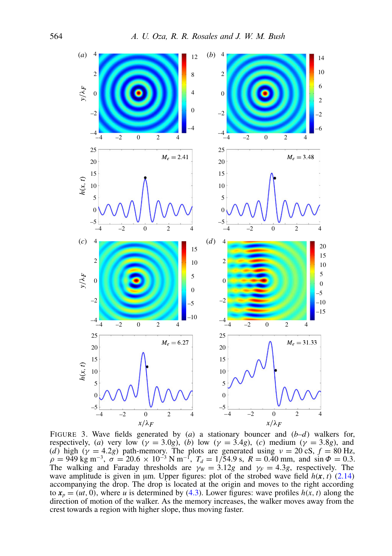

FIGURE 3. Wave fields generated by (*a*) a stationary bouncer and (*b–d*) walkers for, respectively, (*a*) very low ( $\gamma = 3.0g$ ), (*b*) low ( $\gamma = 3.4g$ ), (*c*) medium ( $\gamma = 3.8g$ ), and (*d*) high ( $\gamma = 4.2g$ ) path-memory. The plots are generated using  $\nu = 20 \text{ cS}, f = 80 \text{ Hz},$  $\rho = 949 \text{ kg m}^{-3}, \sigma = 20.6 \times 10^{-3} \text{ N m}^{-1}, T_d = 1/54.9 \text{ s}, R = 0.40 \text{ mm}, \text{ and } \sin \Phi = 0.3.$ The walking and Faraday thresholds are  $\gamma_W = 3.12g$  and  $\gamma_F = 4.3g$ , respectively. The wave amplitude is given in  $\mu$ m. Upper figures: plot of the strobed wave field  $h(x, t)$  [\(2.14\)](#page-5-1) accompanying the drop. The drop is located at the origin and moves to the right according to  $x_p = (ut, 0)$ , where *u* is determined by [\(4.3\)](#page-10-0). Lower figures: wave profiles  $h(x, t)$  along the direction of motion of the walker. As the memory increases, the walker moves away from the crest towards a region with higher slope, thus moving faster.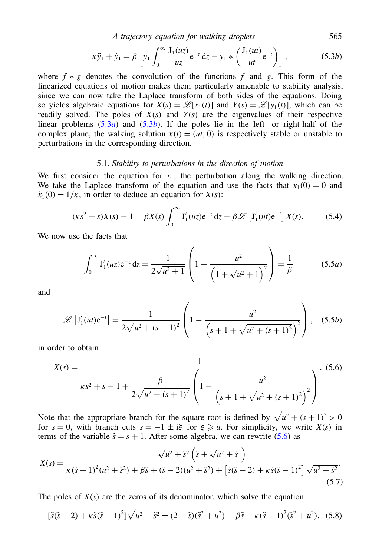<span id="page-13-0"></span>*A trajectory equation for walking droplets* 565

$$
\kappa \ddot{y}_1 + \dot{y}_1 = \beta \left[ y_1 \int_0^\infty \frac{J_1(uz)}{uz} e^{-z} dz - y_1 * \left( \frac{J_1(ut)}{ut} e^{-t} \right) \right],
$$
 (5.3*b*)

where  $f * g$  denotes the convolution of the functions  $f$  and  $g$ . This form of the linearized equations of motion makes them particularly amenable to stability analysis, since we can now take the Laplace transform of both sides of the equations. Doing so yields algebraic equations for  $X(s) = \mathcal{L}[x_1(t)]$  and  $Y(s) = \mathcal{L}[y_1(t)]$ , which can be readily solved. The poles of  $X(s)$  and  $Y(s)$  are the eigenvalues of their respective linear problems  $(5.3a)$  $(5.3a)$  and  $(5.3b)$ . If the poles lie in the left- or right-half of the complex plane, the walking solution  $x(t) = (ut, 0)$  is respectively stable or unstable to perturbations in the corresponding direction.

#### 5.1. *Stability to perturbations in the direction of motion*

We first consider the equation for  $x_1$ , the perturbation along the walking direction. We take the Laplace transform of the equation and use the facts that  $x_1(0) = 0$  and  $\dot{x}_1(0) = 1/\kappa$ , in order to deduce an equation for *X*(*s*):

$$
(\kappa s^2 + s)X(s) - 1 = \beta X(s) \int_0^\infty J_1'(uz) e^{-z} dz - \beta \mathcal{L} \left[ J_1'(ut) e^{-t} \right] X(s).
$$
 (5.4)

We now use the facts that

<span id="page-13-1"></span>
$$
\int_0^\infty J_1'(uz)e^{-z} dz = \frac{1}{2\sqrt{u^2 + 1}} \left(1 - \frac{u^2}{\left(1 + \sqrt{u^2 + 1}\right)^2}\right) = \frac{1}{\beta} \tag{5.5a}
$$

and

$$
\mathscr{L}\left[J_1'(ut)e^{-t}\right] = \frac{1}{2\sqrt{u^2 + (s+1)^2}} \left(1 - \frac{u^2}{\left(s+1 + \sqrt{u^2 + (s+1)^2}\right)^2}\right), \quad (5.5b)
$$

in order to obtain

$$
X(s) = \frac{1}{\kappa s^2 + s - 1 + \frac{\beta}{2\sqrt{u^2 + (s+1)^2}} \left(1 - \frac{u^2}{\left(s + 1 + \sqrt{u^2 + (s+1)^2}\right)^2}\right)}.
$$
(5.6)

Note that the appropriate branch for the square root is defined by  $\sqrt{u^2 + (s+1)^2} > 0$ for  $s = 0$ , with branch cuts  $s = -1 \pm i\xi$  for  $\xi \ge u$ . For simplicity, we write  $X(s)$  in terms of the variable  $\tilde{s} = s + 1$ . After some algebra, we can rewrite [\(5.6\)](#page-13-1) as

$$
X(s) = \frac{\sqrt{u^2 + \tilde{s}^2} \left(\tilde{s} + \sqrt{u^2 + \tilde{s}^2}\right)}{\kappa (\tilde{s} - 1)^2 (u^2 + \tilde{s}^2) + \beta \tilde{s} + (\tilde{s} - 2)(u^2 + \tilde{s}^2) + \left[\tilde{s}(\tilde{s} - 2) + \kappa \tilde{s}(\tilde{s} - 1)^2\right] \sqrt{u^2 + \tilde{s}^2}}.
$$
\n(5.7)

The poles of  $X(s)$  are the zeros of its denominator, which solve the equation

<span id="page-13-2"></span>
$$
[\tilde{s}(\tilde{s}-2) + \kappa \tilde{s}(\tilde{s}-1)^2] \sqrt{u^2 + \tilde{s}^2} = (2-\tilde{s})(\tilde{s}^2 + u^2) - \beta \tilde{s} - \kappa (\tilde{s}-1)^2 (\tilde{s}^2 + u^2). \tag{5.8}
$$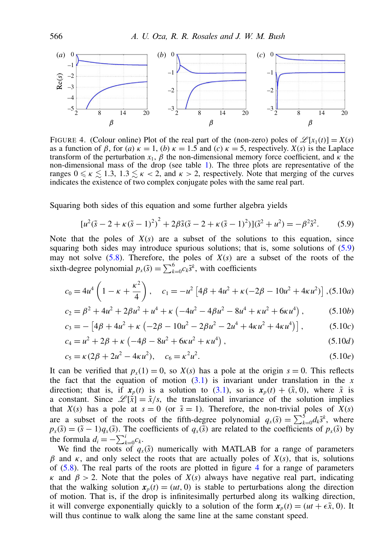

FIGURE 4. (Colour online) Plot of the real part of the (non-zero) poles of  $\mathcal{L}[x_1(t)] = X(s)$ as a function of  $\beta$ , for (*a*)  $\kappa = 1$ , (*b*)  $\kappa = 1.5$  and (*c*)  $\kappa = 5$ , respectively. *X*(*s*) is the Laplace transform of the perturbation  $x_1$ ,  $\beta$  the non-dimensional memory force coefficient, and  $\kappa$  the non-dimensional mass of the drop (see table 1). The three plots are representative of the ranges  $0 \le \kappa \le 1.3$ ,  $1.3 \le \kappa < 2$ , and  $\kappa > 2$ , respectively. Note that merging of the curves indicates the existence of two complex conjugate poles with the same real part.

Squaring both sides of this equation and some further algebra yields

<span id="page-14-0"></span>
$$
[u^2(\tilde{s} - 2 + \kappa(\tilde{s} - 1)^2)^2 + 2\beta \tilde{s}(\tilde{s} - 2 + \kappa(\tilde{s} - 1)^2)](\tilde{s}^2 + u^2) = -\beta^2 \tilde{s}^2. \tag{5.9}
$$

Note that the poles of  $X(s)$  are a subset of the solutions to this equation, since squaring both sides may introduce spurious solutions; that is, some solutions of [\(5.9\)](#page-14-0) may not solve  $(5.8)$ . Therefore, the poles of  $X(s)$  are a subset of the roots of the sixth-degree polynomial  $p_x(\tilde{s}) = \sum_{k=0}^{6} c_k \tilde{s}^k$ , with coefficients

$$
c_0 = 4u^4 \left( 1 - \kappa + \frac{\kappa^2}{4} \right), \quad c_1 = -u^2 \left[ 4\beta + 4u^2 + \kappa(-2\beta - 10u^2 + 4\kappa u^2) \right], (5.10a)
$$

$$
c_2 = \beta^2 + 4u^2 + 2\beta u^2 + u^4 + \kappa \left( -4u^2 - 4\beta u^2 - 8u^4 + \kappa u^2 + 6\kappa u^4 \right),\tag{5.10b}
$$

$$
c_3 = -[4\beta + 4u^2 + \kappa \left(-2\beta - 10u^2 - 2\beta u^2 - 2u^4 + 4\kappa u^2 + 4\kappa u^4\right)],
$$
 (5.10*c*)

$$
c_4 = u^2 + 2\beta + \kappa \left( -4\beta - 8u^2 + 6\kappa u^2 + \kappa u^4 \right),
$$
\n(5.10*d*)

$$
c_5 = \kappa (2\beta + 2u^2 - 4\kappa u^2), \quad c_6 = \kappa^2 u^2. \tag{5.10e}
$$

It can be verified that  $p_x(1) = 0$ , so  $X(s)$  has a pole at the origin  $s = 0$ . This reflects the fact that the equation of motion  $(3.1)$  is invariant under translation in the *x* direction; that is, if  $x_p(t)$  is a solution to [\(3.1\)](#page-6-3), so is  $x_p(t) + (\tilde{x}, 0)$ , where  $\tilde{x}$  is a constant. Since  $\mathcal{L}[\dot{\tilde{x}}] = \tilde{x}/s$ , the translational invariance of the solution implies that *X*(*s*) has a pole at  $s = 0$  (or  $\tilde{s} = 1$ ). Therefore, the non-trivial poles of *X*(*s*) are a subset of the roots of the fifth-degree polynomial  $q_x(\tilde{s}) = \sum_{k=0}^{5} d_k \tilde{s}^k$ , where  $p_x(\tilde{s}) = (\tilde{s} - 1)q_x(\tilde{s})$ . The coefficients of  $q_x(\tilde{s})$  are related to the coefficients of  $p_x(\tilde{s})$  by the formula  $d_i = -\sum_{k=0}^{i} c_k$ .

We find the roots of  $q_x(\tilde{s})$  numerically with MATLAB for a range of parameters β and  $κ$ , and only select the roots that are actually poles of  $X(s)$ , that is, solutions of  $(5.8)$ . The real parts of the roots are plotted in figure 4 for a range of parameters κ and β > 2. Note that the poles of *X*(*s*) always have negative real part, indicating that the walking solution  $x_p(t) = (ut, 0)$  is stable to perturbations along the direction of motion. That is, if the drop is infinitesimally perturbed along its walking direction, it will converge exponentially quickly to a solution of the form  $x_p(t) = (ut + \epsilon \tilde{x}, 0)$ . It will thus continue to walk along the same line at the same constant speed.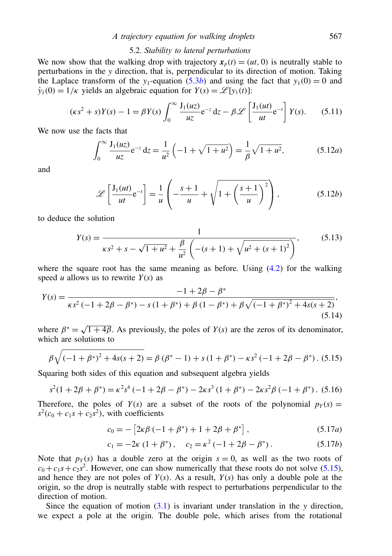## *A trajectory equation for walking droplets* 567

## 5.2. *Stability to lateral perturbations*

We now show that the walking drop with trajectory  $x_p(t) = (ut, 0)$  is neutrally stable to perturbations in the *y* direction, that is, perpendicular to its direction of motion. Taking the Laplace transform of the *y*<sub>1</sub>-equation [\(5.3](#page-13-0)*b*) and using the fact that  $y_1(0) = 0$  and  $\dot{y}_1(0) = 1/\kappa$  yields an algebraic equation for  $Y(s) = \mathcal{L}[y_1(t)]$ :

$$
(\kappa s^2 + s)Y(s) - 1 = \beta Y(s) \int_0^\infty \frac{J_1(uz)}{uz} e^{-z} dz - \beta \mathcal{L} \left[ \frac{J_1(ut)}{ut} e^{-t} \right] Y(s).
$$
 (5.11)

We now use the facts that

$$
\int_0^\infty \frac{J_1(uz)}{uz} e^{-z} dz = \frac{1}{u^2} \left( -1 + \sqrt{1 + u^2} \right) = \frac{1}{\beta} \sqrt{1 + u^2},
$$
(5.12*a*)

and

$$
\mathscr{L}\left[\frac{J_1(ut)}{ut}e^{-t}\right] = \frac{1}{u}\left(-\frac{s+1}{u} + \sqrt{1 + \left(\frac{s+1}{u}\right)^2}\right),\tag{5.12b}
$$

to deduce the solution

$$
Y(s) = \frac{1}{\kappa s^2 + s - \sqrt{1 + u^2} + \frac{\beta}{u^2} \left( -(s+1) + \sqrt{u^2 + (s+1)^2} \right)},
$$
(5.13)

where the square root has the same meaning as before. Using  $(4.2)$  for the walking speed *u* allows us to rewrite  $Y(s)$  as

$$
Y(s) = \frac{-1 + 2\beta - \beta^*}{\kappa s^2 \left(-1 + 2\beta - \beta^*\right) - s\left(1 + \beta^*\right) + \beta\left(1 - \beta^*\right) + \beta\sqrt{\left(-1 + \beta^*\right)^2 + 4s(s+2)}},\tag{5.14}
$$

where  $\beta^* = \sqrt{1 + 4\beta}$ . As previously, the poles of *Y*(*s*) are the zeros of its denominator, which are solutions to

$$
\beta \sqrt{(-1+\beta^*)^2 + 4s(s+2)} = \beta (\beta^* - 1) + s(1+\beta^*) - \kappa s^2 (-1+2\beta - \beta^*)
$$
 (5.15)

Squaring both sides of this equation and subsequent algebra yields

$$
s^{2}(1+2\beta+\beta^{*}) = \kappa^{2}s^{4}(-1+2\beta-\beta^{*}) - 2\kappa s^{3}(1+\beta^{*}) - 2\kappa s^{2}\beta(-1+\beta^{*}).
$$
 (5.16)

Therefore, the poles of  $Y(s)$  are a subset of the roots of the polynomial  $p_Y(s)$  =  $s^2$ ( $c_0$  +  $c_1s$  +  $c_2s^2$ ), with coefficients

<span id="page-15-0"></span>
$$
c_0 = -[2\kappa\beta(-1+\beta^*) + 1 + 2\beta + \beta^*],
$$
\n(5.17*a*)

$$
c_1 = -2\kappa (1 + \beta^*), \quad c_2 = \kappa^2 (-1 + 2\beta - \beta^*).
$$
 (5.17b)

Note that  $p_Y(s)$  has a double zero at the origin  $s = 0$ , as well as the two roots of  $c_0 + c_1s + c_2s^2$ . However, one can show numerically that these roots do not solve [\(5.15\)](#page-15-0), and hence they are not poles of  $Y(s)$ . As a result,  $Y(s)$  has only a double pole at the origin, so the drop is neutrally stable with respect to perturbations perpendicular to the direction of motion.

Since the equation of motion  $(3.1)$  is invariant under translation in the *y* direction, we expect a pole at the origin. The double pole, which arises from the rotational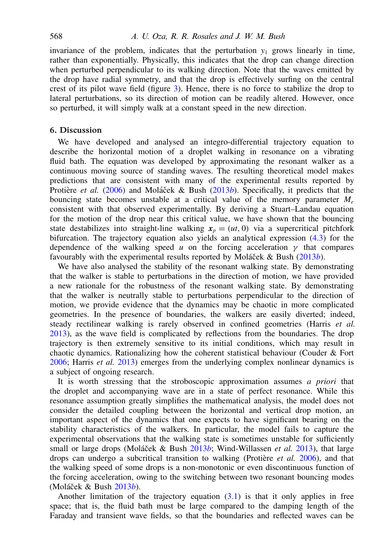invariance of the problem, indicates that the perturbation  $y_1$  grows linearly in time, rather than exponentially. Physically, this indicates that the drop can change direction when perturbed perpendicular to its walking direction. Note that the waves emitted by the drop have radial symmetry, and that the drop is effectively surfing on the central crest of its pilot wave field (figure 3). Hence, there is no force to stabilize the drop to lateral perturbations, so its direction of motion can be readily altered. However, once so perturbed, it will simply walk at a constant speed in the new direction.

# <span id="page-16-0"></span>6. Discussion

We have developed and analysed an integro-differential trajectory equation to describe the horizontal motion of a droplet walking in resonance on a vibrating fluid bath. The equation was developed by approximating the resonant walker as a continuous moving source of standing waves. The resulting theoretical model makes predictions that are consistent with many of the experimental results reported by Protière et al. (2006) and Moláček & Bush (2013*b*). Specifically, it predicts that the bouncing state becomes unstable at a critical value of the memory parameter *M<sup>e</sup>* consistent with that observed experimentally. By deriving a Stuart–Landau equation for the motion of the drop near this critical value, we have shown that the bouncing state destabilizes into straight-line walking  $x_p = (ut, 0)$  via a supercritical pitchfork bifurcation. The trajectory equation also yields an analytical expression  $(4.3)$  for the dependence of the walking speed *u* on the forcing acceleration  $\nu$  that compares favourably with the experimental results reported by Moláček & Bush (2013*b*).

We have also analysed the stability of the resonant walking state. By demonstrating that the walker is stable to perturbations in the direction of motion, we have provided a new rationale for the robustness of the resonant walking state. By demonstrating that the walker is neutrally stable to perturbations perpendicular to the direction of motion, we provide evidence that the dynamics may be chaotic in more complicated geometries. In the presence of boundaries, the walkers are easily diverted; indeed, steady rectilinear walking is rarely observed in confined geometries (Harris *et al.* 2013), as the wave field is complicated by reflections from the boundaries. The drop trajectory is then extremely sensitive to its initial conditions, which may result in chaotic dynamics. Rationalizing how the coherent statistical behaviour (Couder & Fort 2006; Harris *et al.* 2013) emerges from the underlying complex nonlinear dynamics is a subject of ongoing research.

It is worth stressing that the stroboscopic approximation assumes *a priori* that the droplet and accompanying wave are in a state of perfect resonance. While this resonance assumption greatly simplifies the mathematical analysis, the model does not consider the detailed coupling between the horizontal and vertical drop motion, an important aspect of the dynamics that one expects to have significant bearing on the stability characteristics of the walkers. In particular, the model fails to capture the experimental observations that the walking state is sometimes unstable for sufficiently small or large drops (Moláček & Bush 2013b; Wind-Willassen et al. 2013), that large drops can undergo a subcritical transition to walking (Protière  $et$   $al$ , 2006), and that the walking speed of some drops is a non-monotonic or even discontinuous function of the forcing acceleration, owing to the switching between two resonant bouncing modes (Moláček & Bush 2013*b*).

Another limitation of the trajectory equation  $(3.1)$  is that it only applies in free space; that is, the fluid bath must be large compared to the damping length of the Faraday and transient wave fields, so that the boundaries and reflected waves can be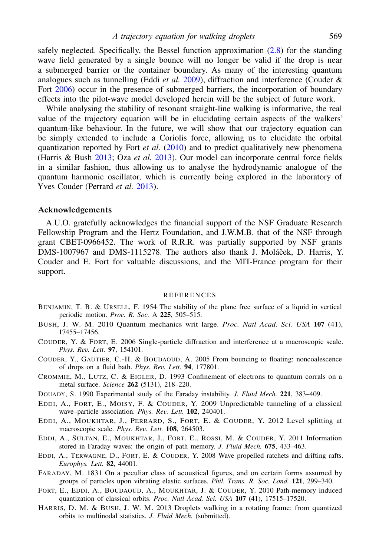safely neglected. Specifically, the Bessel function approximation  $(2.8)$  for the standing wave field generated by a single bounce will no longer be valid if the drop is near a submerged barrier or the container boundary. As many of the interesting quantum analogues such as tunnelling (Eddi *et al.* 2009), diffraction and interference (Couder & Fort 2006) occur in the presence of submerged barriers, the incorporation of boundary effects into the pilot-wave model developed herein will be the subject of future work.

While analysing the stability of resonant straight-line walking is informative, the real value of the trajectory equation will be in elucidating certain aspects of the walkers' quantum-like behaviour. In the future, we will show that our trajectory equation can be simply extended to include a Coriolis force, allowing us to elucidate the orbital quantization reported by Fort *et al.* (2010) and to predict qualitatively new phenomena (Harris & Bush 2013; Oza *et al.* 2013). Our model can incorporate central force fields in a similar fashion, thus allowing us to analyse the hydrodynamic analogue of the quantum harmonic oscillator, which is currently being explored in the laboratory of Yves Couder (Perrard *et al.* 2013).

### Acknowledgements

A.U.O. gratefully acknowledges the financial support of the NSF Graduate Research Fellowship Program and the Hertz Foundation, and J.W.M.B. that of the NSF through grant CBET-0966452. The work of R.R.R. was partially supported by NSF grants DMS-1007967 and DMS-1115278. The authors also thank J. Moláček, D. Harris, Y. Couder and E. Fort for valuable discussions, and the MIT-France program for their support.

#### **REFERENCES**

- BENJAMIN, T. B. & URSELL, F. 1954 The stability of the plane free surface of a liquid in vertical periodic motion. *Proc. R. Soc.* A 225, 505–515.
- BUSH, J. W. M. 2010 Quantum mechanics writ large. *Proc. Natl Acad. Sci. USA* 107 (41), 17455–17456.
- COUDER, Y. & FORT, E. 2006 Single-particle diffraction and interference at a macroscopic scale. *Phys. Rev. Lett.* 97, 154101.
- COUDER, Y., GAUTIER, C.-H. & BOUDAOUD, A. 2005 From bouncing to floating: noncoalescence of drops on a fluid bath. *Phys. Rev. Lett.* 94, 177801.
- CROMMIE, M., LUTZ, C. & EIGLER, D. 1993 Confinement of electrons to quantum corrals on a metal surface. *Science* 262 (5131), 218–220.
- DOUADY, S. 1990 Experimental study of the Faraday instability. *J. Fluid Mech.* 221, 383–409.
- EDDI, A., FORT, E., MOISY, F. & COUDER, Y. 2009 Unpredictable tunneling of a classical wave–particle association. *Phys. Rev. Lett.* 102, 240401.
- EDDI, A., MOUKHTAR, J., PERRARD, S., FORT, E. & COUDER, Y. 2012 Level splitting at macroscopic scale. *Phys. Rev. Lett.* 108, 264503.
- EDDI, A., SULTAN, E., MOUKHTAR, J., FORT, E., ROSSI, M. & COUDER, Y. 2011 Information stored in Faraday waves: the origin of path memory. *J. Fluid Mech.* 675, 433–463.
- EDDI, A., TERWAGNE, D., FORT, E. & COUDER, Y. 2008 Wave propelled ratchets and drifting rafts. *Europhys. Lett.* 82, 44001.
- FARADAY, M. 1831 On a peculiar class of acoustical figures, and on certain forms assumed by groups of particles upon vibrating elastic surfaces. *Phil. Trans. R. Soc. Lond.* 121, 299–340.
- FORT, E., EDDI, A., BOUDAOUD, A., MOUKHTAR, J. & COUDER, Y. 2010 Path-memory induced quantization of classical orbits. *Proc. Natl Acad. Sci. USA* 107 (41), 17515–17520.
- HARRIS, D. M. & BUSH, J. W. M. 2013 Droplets walking in a rotating frame: from quantized orbits to multinodal statistics. *J. Fluid Mech.* (submitted).